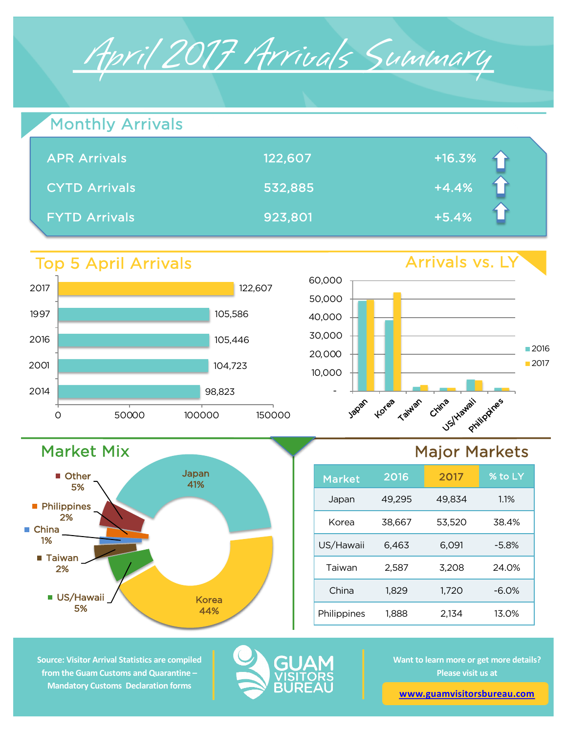

| <b>Monthly Arrivals</b> |         |          |
|-------------------------|---------|----------|
| <b>APR Arrivals</b>     | 122,607 | $+16.3%$ |
| <b>CYTD Arrivals</b>    | 532,885 | $+4.4%$  |
| <b>FYTD Arrivals</b>    | 923,801 | $+5.4%$  |

## Top 5 April Arrivals

Market Mix

**US/Hawaii** 5%

■ Taiwan 2%

**Philippines** 2%

**Other** 5%

■ China 1%



Japan 41%

> Korea 44%



# Major Markets

| <b>Market</b> | 2016   | 2017   | % to LY  |
|---------------|--------|--------|----------|
| Japan         | 49,295 | 49,834 | 1.1%     |
| Korea         | 38.667 | 53,520 | 38.4%    |
| US/Hawaii     | 6,463  | 6,091  | $-5.8%$  |
| Taiwan        | 2,587  | 3,208  | 24.0%    |
| China         | 1,829  | 1.720  | $-6.0\%$ |
| Philippines   | 1.888  | 2.134  | 13.0%    |

**Source: Visitor Arrival Statistics are compiled from the Guam Customs and Quarantine – Mandatory Customs Declaration forms** 



**Want to learn more or get more details? Please visit us at** 

**www.guamvisitorsbureau.com**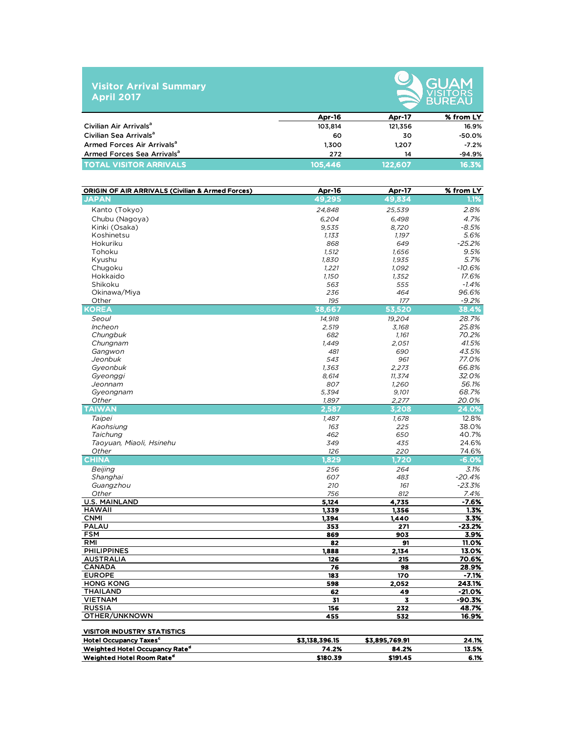#### **Visitor Arrival Summary April 2017**



|                                        | <b>Apr-16</b> | Apr-17  | % from LY |
|----------------------------------------|---------------|---------|-----------|
| Civilian Air Arrivals <sup>a</sup>     | 103.814       | 121,356 | 16.9%     |
| Civilian Sea Arrivals <sup>a</sup>     | 60            | 30      | $-50.0%$  |
| Armed Forces Air Arrivals <sup>a</sup> | 1.300         | 1.207   | $-7.2%$   |
| Armed Forces Sea Arrivals <sup>a</sup> | 272           | 14      | $-94.9%$  |
| TOTAL VISITOR ARRIVALS                 | 105,446       | 122.607 | 16.3%     |

| <b>ORIGIN OF AIR ARRIVALS (Civilian &amp; Armed Forces)</b>                            | Apr-16                  | Apr-17                  | % from LY      |
|----------------------------------------------------------------------------------------|-------------------------|-------------------------|----------------|
| <b>JAPAN</b>                                                                           | 49,295                  | 49,834                  | 1.1%           |
| Kanto (Tokyo)                                                                          | 24,848                  | 25,539                  | 2.8%           |
| Chubu (Nagoya)                                                                         | 6,204                   | 6,498                   | 4.7%           |
| Kinki (Osaka)                                                                          | 9,535                   | 8,720                   | $-8.5%$        |
| Koshinetsu                                                                             | 1,133                   | 1,197                   | 5.6%           |
| Hokuriku                                                                               | 868                     | 649                     | $-25.2%$       |
| Tohoku                                                                                 | 1,512                   | 1,656                   | 9.5%           |
| Kyushu                                                                                 | 1,830                   | 1,935                   | 5.7%           |
| Chugoku                                                                                | 1,221                   | 1,092                   | $-10.6%$       |
| Hokkaido                                                                               | 1,150                   | 1,352                   | 17.6%          |
| Shikoku                                                                                | 563                     | 555                     | $-1.4%$        |
| Okinawa/Miya                                                                           | 236                     | 464                     | 96.6%          |
| Other                                                                                  | 195                     | 177                     | $-9.2%$        |
| <b>KOREA</b>                                                                           | 38,667                  | 53,520                  | 38.4%          |
| Seoul                                                                                  | 14,918                  | 19,204                  | 28.7%          |
| Incheon                                                                                | 2,519                   | 3,168                   | 25.8%          |
| Chungbuk                                                                               | 682                     | 1,161                   | 70.2%          |
| Chungnam                                                                               | 1,449                   | 2,051                   | 41.5%          |
| Gangwon                                                                                | 481                     | 690                     | 43.5%          |
| Jeonbuk                                                                                | 543                     | 961                     | 77.0%          |
| Gyeonbuk                                                                               | 1,363                   | 2,273                   | 66.8%          |
| Gyeonggi                                                                               | 8,614                   | 11,374                  | 32.0%          |
| Jeonnam                                                                                | 807                     | 1,260                   | 56.1%          |
| Gyeongnam                                                                              | 5,394                   | 9,101                   | 68.7%          |
| Other                                                                                  | 1.897                   | 2,277                   | 20.0%          |
| <b>TAIWAN</b>                                                                          | 2,587                   | 3,208                   | 24.0%          |
| Taipei                                                                                 | 1,487                   | 1,678                   | 12.8%          |
| Kaohsiung                                                                              | 163                     | 225                     | 38.0%          |
| Taichung                                                                               | 462                     | 650                     | 40.7%          |
| Taoyuan, Miaoli, Hsinehu                                                               | 349                     | 435                     | 24.6%          |
| Other                                                                                  | 126                     | 220                     | 74.6%          |
| <b>CHINA</b>                                                                           | 1,829                   | 1,720                   | $-6.0%$        |
| Beijing                                                                                | 256                     | 264                     | 3.1%           |
| Shanghai                                                                               | 607                     | 483                     | $-20.4%$       |
| Guangzhou                                                                              | 210                     | 161                     | $-23.3%$       |
| Other                                                                                  | 756                     | 812                     | 7.4%           |
| <b>U.S. MAINLAND</b>                                                                   | 5,124                   | 4,735                   | $-7.6%$        |
| <b>HAWAII</b>                                                                          | 1,339                   | 1,356                   | 1.3%           |
| <b>CNMI</b>                                                                            | 1,394                   | 1,440                   | 3.3%           |
| <b>PALAU</b>                                                                           | 353                     | 271                     | $-23.2%$       |
| <b>FSM</b>                                                                             | 869                     | 903                     | 3.9%           |
| RMI                                                                                    | 82                      | 91                      | 11.0%          |
| <b>PHILIPPINES</b>                                                                     | 1,888                   | 2,134                   | 13.0%          |
| <b>AUSTRALIA</b>                                                                       | 126                     | 215                     | 70.6%          |
| <b>CANADA</b>                                                                          | 76                      | 98                      | 28.9%          |
| <b>EUROPE</b>                                                                          | 183                     | 170                     | $-7.1%$        |
| <b>HONG KONG</b>                                                                       | 598                     | 2,052                   | 243.1%         |
| <b>THAILAND</b>                                                                        | 62                      | 49                      | $-21.0%$       |
| <b>VIETNAM</b>                                                                         | 31                      | 3                       | $-90.3%$       |
| <b>RUSSIA</b>                                                                          | 156                     | 232                     | 48.7%          |
| OTHER/UNKNOWN                                                                          | 455                     | 532                     | 16.9%          |
|                                                                                        |                         |                         |                |
| <b>VISITOR INDUSTRY STATISTICS</b>                                                     |                         |                         |                |
| <b>Hotel Occupancy Taxes<sup>c</sup></b><br>Weighted Hotel Occupancy Rate <sup>d</sup> | \$3,138,396.15<br>74.2% | \$3,895,769.91<br>84.2% | 24.1%<br>13.5% |
| Weighted Hotel Room Rate <sup>d</sup>                                                  | \$180.39                | \$191.45                | 6.1%           |
|                                                                                        |                         |                         |                |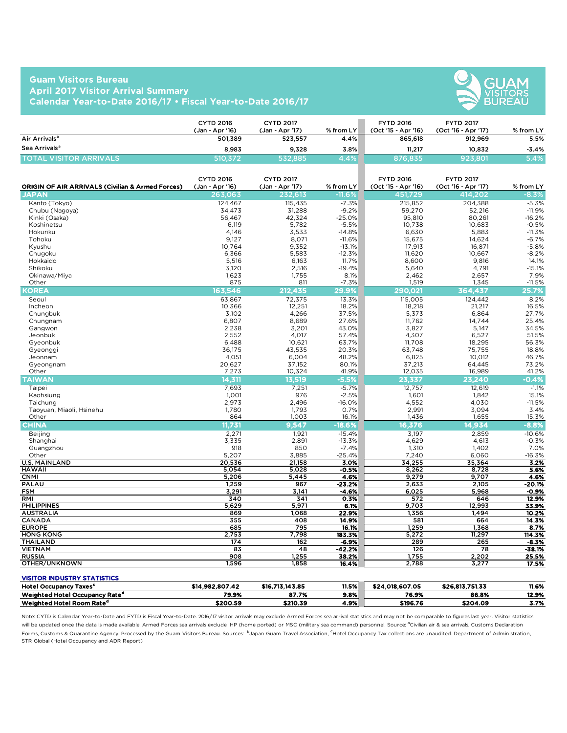### **Guam Visitors Bureau April 2017 Visitor Arrival Summary Calendar Year-to-Date 2016/17 • Fiscal Year-to-Date 2016/17**



|                               | CYTD 2016<br>(Jan - Apr '16) | <b>CYTD 2017</b><br>'Jan - Apr '17) | % from LY | <b>FYTD 2016</b><br>(Oct '15 - Apr '16) | <b>FYTD 2017</b><br>(Oct '16 - Apr '17) | % from LY |
|-------------------------------|------------------------------|-------------------------------------|-----------|-----------------------------------------|-----------------------------------------|-----------|
| Air Arrivals <sup>a</sup>     | 501.389                      | 523,557                             | 4.4%      | 865,618                                 | 912,969                                 | 5.5%      |
| Sea Arrivals <sup>a</sup>     | 8.983                        | 9.328                               | 3.8%      | 11,217                                  | 10.832                                  | $-3.4%$   |
| <b>TOTAL VISITOR ARRIVALS</b> | 510.372                      | 532.885                             | 4.4%      | 876.835                                 | 923,801                                 | 5.4%      |

| <b>ORIGIN OF AIR ARRIVALS (Civilian &amp; Armed Forces)</b> | <b>CYTD 2016</b><br>(Jan - Apr '16) | <b>CYTD 2017</b><br>(Jan - Apr '17) | % from LY         | <b>FYTD 2016</b><br>(Oct '15 - Apr '16) | <b>FYTD 2017</b><br>(Oct '16 - Apr '17) | % from LY           |
|-------------------------------------------------------------|-------------------------------------|-------------------------------------|-------------------|-----------------------------------------|-----------------------------------------|---------------------|
| <b>JAPAN</b>                                                | 263,063                             | 232,613                             | $-11.6%$          | 451,729                                 | 414,202                                 | $-8.3\%$            |
| Kanto (Tokyo)                                               | 124,467                             | 115,435                             | $-7.3%$           | 215,852                                 | 204,388                                 | $-5.3%$             |
| Chubu (Nagoya)                                              | 34,473                              | 31,288                              | $-9.2%$           | 59,270                                  | 52,216                                  | $-11.9%$            |
| Kinki (Osaka)                                               | 56,467                              | 42,324                              | $-25.0%$          | 95,810                                  | 80,261                                  | $-16.2%$            |
| Koshinetsu                                                  | 6,119                               | 5,782                               | $-5.5%$           | 10,738                                  | 10,683                                  | $-0.5%$             |
| Hokuriku                                                    | 4,146                               | 3,533                               | $-14.8%$          | 6,630                                   | 5,883                                   | $-11.3%$            |
| Tohoku                                                      | 9,127                               | 8,071                               | $-11.6%$          | 15,675                                  | 14,624                                  | $-6.7%$             |
| Kyushu                                                      | 10,764                              | 9,352                               | $-13.1%$          | 17,913                                  | 16,871                                  | $-5.8%$             |
| Chugoku                                                     | 6,366                               | 5,583                               | $-12.3%$          | 11,620                                  | 10,667                                  | $-8.2%$             |
| Hokkaido                                                    | 5,516                               | 6,163                               | 11.7%             | 8,600                                   | 9,816                                   | 14.1%               |
| Shikoku                                                     | 3,120                               | 2,516                               | $-19.4%$          | 5,640                                   | 4,791                                   | $-15.1%$            |
| Okinawa/Miya                                                | 1,623                               | 1,755                               | 8.1%              | 2,462                                   | 2,657                                   | 7.9%                |
| Other                                                       | 875                                 | 811                                 | $-7.3%$           | 1,519                                   | 1,345                                   | $-11.5%$            |
| <b>KOREA</b>                                                | 163.546                             | 212.435                             | 29.9%             | 290,021                                 | 364,437                                 | 25.7%               |
| Seoul                                                       | 63,867                              | 72,375                              | 13.3%             | 115,005                                 | 124,442                                 | 8.2%                |
| Incheon                                                     | 10.366                              | 12,251                              | 18.2%             | 18,218                                  | 21.217                                  | 16.5%               |
| Chungbuk                                                    | 3,102                               | 4,266                               | 37.5%             | 5,373                                   | 6,864                                   | 27.7%               |
| Chungnam                                                    | 6.807                               | 8,689                               | 27.6%             | 11.762                                  | 14.744                                  | 25.4%               |
| Gangwon                                                     | 2,238                               | 3,201                               | 43.0%             | 3,827                                   | 5,147                                   | 34.5%               |
| Jeonbuk                                                     | 2.552                               | 4,017                               | 57.4%             | 4,307                                   | 6,527                                   | 51.5%               |
| Gyeonbuk                                                    | 6,488                               | 10,621                              | 63.7%             | 11,708                                  | 18,295                                  | 56.3%               |
| Gyeonggi                                                    | 36,175                              | 43,535                              | 20.3%             | 63,748                                  | 75,755                                  | 18.8%               |
| Jeonnam                                                     | 4,051                               | 6,004                               | 48.2%             | 6,825                                   | 10,012                                  | 46.7%               |
| Gyeongnam                                                   | 20,627                              | 37,152                              | 80.1%             | 37,213                                  | 64,445                                  | 73.2%               |
| Other                                                       | 7,273                               | 10.324                              | 41.9%             | 12,035                                  | 16,989                                  | 41.2%               |
| <b>TAIWAN</b>                                               | 14,311                              | 13,519                              | $-5.5%$           | 23,337                                  | 23.240                                  | $-0.4%$             |
| Taipei                                                      | 7,693                               | 7,251                               | $-5.7%$           | 12,757                                  | 12,619                                  | $-1.1%$             |
| Kaohsiung                                                   | 1,001                               | 976                                 | $-2.5%$           | 1,601                                   | 1,842                                   | 15.1%               |
| Taichung                                                    | 2,973                               | 2,496                               | $-16.0%$          | 4,552                                   | 4,030                                   | $-11.5%$            |
| Taoyuan, Miaoli, Hsinehu                                    | 1,780                               | 1,793                               | 0.7%              | 2,991                                   | 3,094                                   | 3.4%                |
| Other                                                       | 864                                 | 1,003                               | 16.1%             | 1,436                                   | 1,655                                   | 15.3%               |
| <b>CHINA</b>                                                | 11,731                              | 9.547                               | $-18.6%$          | 16,376                                  | 14,934                                  | $-8.8%$             |
| Beijing                                                     | 2,271                               | 1,921                               | $-15.4%$          | 3,197                                   | 2,859                                   | $-10.6%$            |
| Shanghai                                                    | 3,335                               | 2,891                               | $-13.3%$          | 4,629                                   | 4,613                                   | $-0.3%$             |
| Guangzhou                                                   | 918                                 | 850                                 | $-7.4%$           | 1,310                                   | 1,402                                   | 7.0%                |
| Other                                                       | 5,207                               | 3,885                               | $-25.4%$          | 7,240                                   | 6,060                                   | $-16.3%$            |
| <b>U.S. MAINLAND</b>                                        | 20,536                              | 21,158                              | 3.0%              | 34,255                                  | 35,364                                  | 3.2%                |
| <b>HAWAII</b>                                               | 5,054                               | 5,028                               | $-0.5%$           | 8,262                                   | 8,728                                   | 5.6%                |
| <b>CNMI</b>                                                 | 5,206                               | 5,445                               | 4.6%              | 9,279                                   | 9,707                                   | 4.6%                |
| PALAU                                                       | 1,259                               | 967                                 | $-23.2%$          | 2,633                                   | 2,105                                   | $-20.1%$            |
| <b>FSM</b>                                                  | 3,291                               | 3,141                               | $-4.6%$           | 6,025                                   | 5,968                                   | $-0.9%$             |
| RMI                                                         | 340                                 | 341                                 | 0.3%              | 572                                     | 646                                     | 12.9%               |
| <b>PHILIPPINES</b>                                          | 5,629                               | 5,971                               | 6.1%              | 9,703                                   | 12,993                                  | 33.9%               |
| <b>AUSTRALIA</b>                                            | 869                                 | 1.068                               | 22.9%             | 1,356                                   | 1,494                                   | 10.2%               |
| CANADA                                                      | 355                                 | 408                                 | 14.9%             | 581                                     | 664                                     | 14.3%               |
| <b>EUROPE</b>                                               | 685                                 | 795                                 | 16.1%             | 1,259                                   | 1,368                                   | 8.7%                |
| <b>HONG KONG</b>                                            | 2,753                               | 7,798                               | 183.3%            | 5,272                                   | 11,297                                  | 114.3%              |
| <b>THAILAND</b><br><b>VIETNAM</b>                           | 174<br>83                           | 162<br>48                           | -6.9%<br>$-42.2%$ | 289<br>126                              | 265<br>78                               | $-8.3%$<br>$-38.1%$ |
| <b>RUSSIA</b>                                               | 908                                 | 1,255                               | 38.2%             | 1,755                                   | 2,202                                   | 25.5%               |
| OTHER/UNKNOWN                                               | 1,596                               | 1,858                               | 16.4%             | 2,788                                   | 3,277                                   | 17.5%               |
|                                                             |                                     |                                     |                   |                                         |                                         |                     |

#### VISITOR INDUSTRY STATISTICS

| Hotel O<br>ul Occupancy.<br>'Taxes'        | \$14.982.807.42 | \$16.713.143.85 | 11.5% | 4.018.607.05<br> | \$26.813.751.33 | 11.6% |
|--------------------------------------------|-----------------|-----------------|-------|------------------|-----------------|-------|
| Weighted Hotel Occupancy Rate <sup>d</sup> | 79.9%           | 87.7%           | 9.8%  | 76.9%            | 86.8%           | 12.9% |
| Weighted Hotel Room Rate <sup>d</sup>      | \$200.59        | \$210.39        | 4.9%  | \$196.76         | \$204.09        | 3.7%  |

Note: CYTD is Calendar Year-to-Date and FYTD is Fiscal Year-to-Date. 2016/17 visitor arrivals may exclude Armed Forces sea arrival statistics and may not be comparable to figures last year. Visitor statistics will be updated once the data is made available. Armed Forces sea arrivals exclude HP (home ported) or MSC (military sea command) personnel. Source: <sup>a</sup>Civilian air & sea arrivals. Customs Declaration Forms, Customs & Quarantine Agency. Processed by the Guam Visitors Bureau. Sources: bJapan Guam Travel Association, <sup>c</sup>Hotel Occupancy Tax collections are unaudited. Department of Administration, STR Global (Hotel Occupancy and ADR Report)